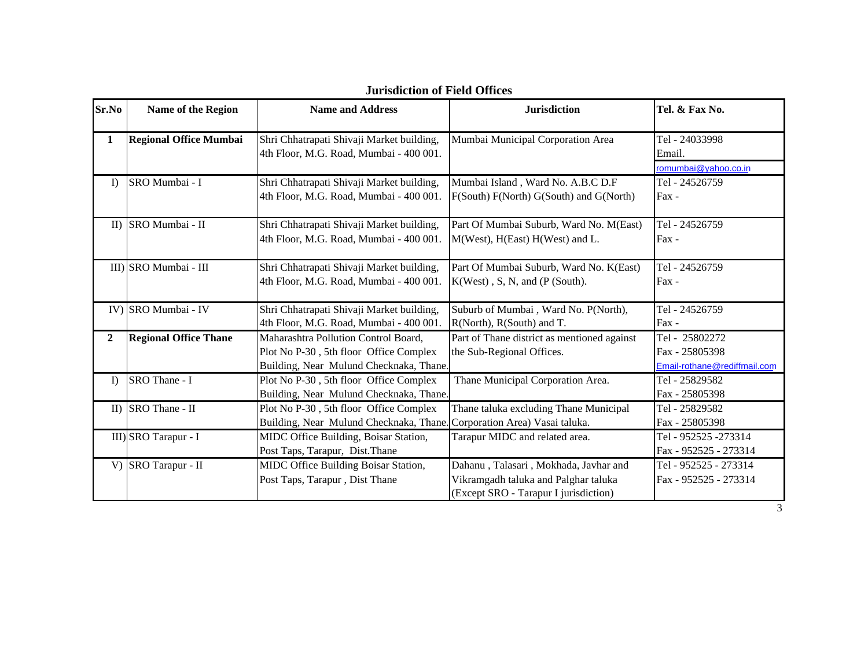| Sr.No        | Name of the Region            | <b>Name and Address</b>                                                                                                   | <b>Jurisdiction</b>                                                                                                    | Tel. & Fax No.                                                   |
|--------------|-------------------------------|---------------------------------------------------------------------------------------------------------------------------|------------------------------------------------------------------------------------------------------------------------|------------------------------------------------------------------|
| $\mathbf{1}$ | <b>Regional Office Mumbai</b> | Shri Chhatrapati Shivaji Market building,<br>4th Floor, M.G. Road, Mumbai - 400 001.                                      | Mumbai Municipal Corporation Area                                                                                      | Tel - 24033998<br>Email.<br>romumbai@yahoo.co.in                 |
| I)           | SRO Mumbai - I                | Shri Chhatrapati Shivaji Market building,<br>4th Floor, M.G. Road, Mumbai - 400 001.                                      | Mumbai Island, Ward No. A.B.C D.F<br>F(South) F(North) G(South) and G(North)                                           | Tel - 24526759<br>$\text{Fax}$ -                                 |
| II           | SRO Mumbai - II               | Shri Chhatrapati Shivaji Market building,<br>4th Floor, M.G. Road, Mumbai - 400 001.                                      | Part Of Mumbai Suburb, Ward No. M(East)<br>M(West), H(East) H(West) and L.                                             | Tel - 24526759<br>Fax -                                          |
|              | III) SRO Mumbai - III         | Shri Chhatrapati Shivaji Market building,<br>4th Floor, M.G. Road, Mumbai - 400 001.                                      | Part Of Mumbai Suburb, Ward No. K(East)<br>$K(West)$ , S, N, and (P (South).                                           | Tel - 24526759<br>$Fax -$                                        |
|              | IV) SRO Mumbai - IV           | Shri Chhatrapati Shivaji Market building,<br>4th Floor, M.G. Road, Mumbai - 400 001.                                      | Suburb of Mumbai, Ward No. P(North),<br>R(North), R(South) and T.                                                      | Tel - 24526759<br>Fax -                                          |
| $\mathbf{2}$ | <b>Regional Office Thane</b>  | Maharashtra Pollution Control Board,<br>Plot No P-30, 5th floor Office Complex<br>Building, Near Mulund Checknaka, Thane. | Part of Thane district as mentioned against<br>the Sub-Regional Offices.                                               | Tel - 25802272<br>Fax - 25805398<br>Email-rothane@rediffmail.com |
| $\Gamma$     | SRO Thane - I                 | Plot No P-30, 5th floor Office Complex<br>Building, Near Mulund Checknaka, Thane.                                         | Thane Municipal Corporation Area.                                                                                      | Tel - 25829582<br>Fax - 25805398                                 |
| $\mathbf{I}$ | SRO Thane - II                | Plot No P-30, 5th floor Office Complex<br>Building, Near Mulund Checknaka, Thane.                                         | Thane taluka excluding Thane Municipal<br>Corporation Area) Vasai taluka.                                              | Tel - 25829582<br>Fax - 25805398                                 |
|              | III) SRO Tarapur - I          | MIDC Office Building, Boisar Station,<br>Post Taps, Tarapur, Dist. Thane                                                  | Tarapur MIDC and related area.                                                                                         | Tel - 952525 -273314<br>Fax - 952525 - 273314                    |
|              | V) SRO Tarapur - II           | MIDC Office Building Boisar Station,<br>Post Taps, Tarapur, Dist Thane                                                    | Dahanu, Talasari, Mokhada, Javhar and<br>Vikramgadh taluka and Palghar taluka<br>(Except SRO - Tarapur I jurisdiction) | Tel - 952525 - 273314<br>Fax - 952525 - 273314                   |

## **Jurisdiction of Field Offices**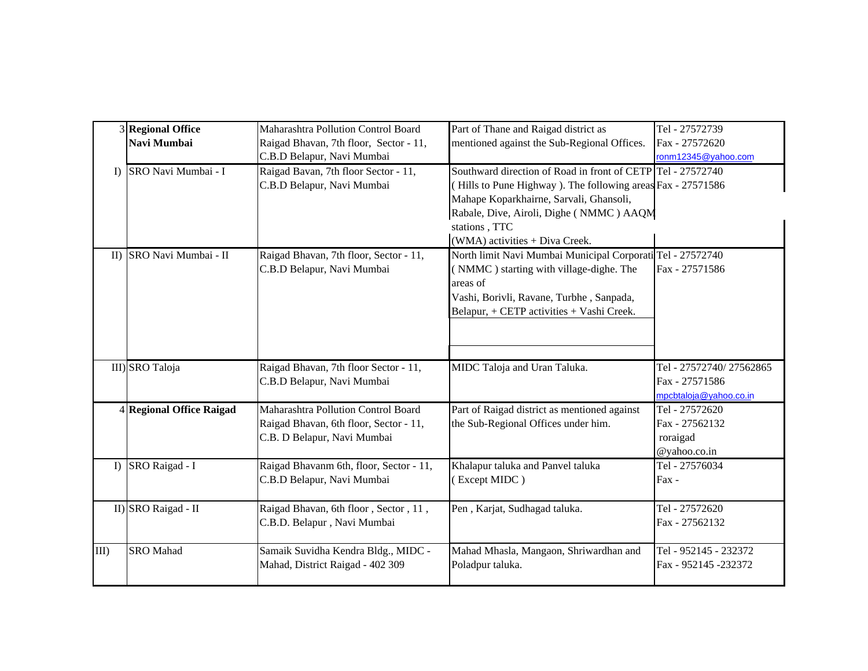|         | 3 Regional Office<br>Navi Mumbai | Maharashtra Pollution Control Board<br>Raigad Bhavan, 7th floor, Sector - 11,<br>C.B.D Belapur, Navi Mumbai  | Part of Thane and Raigad district as<br>mentioned against the Sub-Regional Offices.                                                                                                                                                                                 | Tel - 27572739<br>Fax - 27572620<br>ronm12345@yahoo.com             |
|---------|----------------------------------|--------------------------------------------------------------------------------------------------------------|---------------------------------------------------------------------------------------------------------------------------------------------------------------------------------------------------------------------------------------------------------------------|---------------------------------------------------------------------|
| I)      | SRO Navi Mumbai - I              | Raigad Bavan, 7th floor Sector - 11,<br>C.B.D Belapur, Navi Mumbai                                           | Southward direction of Road in front of CETP Tel - 27572740<br>(Hills to Pune Highway). The following areas Fax - 27571586<br>Mahape Koparkhairne, Sarvali, Ghansoli,<br>Rabale, Dive, Airoli, Dighe (NMMC) AAQM<br>stations, TTC<br>(WMA) activities + Diva Creek. |                                                                     |
|         | II) SRO Navi Mumbai - II         | Raigad Bhavan, 7th floor, Sector - 11,<br>C.B.D Belapur, Navi Mumbai                                         | North limit Navi Mumbai Municipal Corporati Tel - 27572740<br>(NMMC) starting with village-dighe. The<br>areas of<br>Vashi, Borivli, Ravane, Turbhe, Sanpada,<br>Belapur, + CETP activities + Vashi Creek.                                                          | Fax - 27571586                                                      |
|         | III) SRO Taloja                  | Raigad Bhavan, 7th floor Sector - 11,<br>C.B.D Belapur, Navi Mumbai                                          | MIDC Taloja and Uran Taluka.                                                                                                                                                                                                                                        | Tel - 27572740/27562865<br>Fax - 27571586<br>mpcbtaloja@yahoo.co.in |
|         | 4 Regional Office Raigad         | Maharashtra Pollution Control Board<br>Raigad Bhavan, 6th floor, Sector - 11,<br>C.B. D Belapur, Navi Mumbai | Part of Raigad district as mentioned against<br>the Sub-Regional Offices under him.                                                                                                                                                                                 | Tel - 27572620<br>Fax - 27562132<br>roraigad<br>@yahoo.co.in        |
|         | I) SRO Raigad - I                | Raigad Bhavanm 6th, floor, Sector - 11,<br>C.B.D Belapur, Navi Mumbai                                        | Khalapur taluka and Panvel taluka<br>(Except MIDC)                                                                                                                                                                                                                  | Tel - 27576034<br>Fax -                                             |
|         | II) SRO Raigad - II              | Raigad Bhavan, 6th floor, Sector, 11,<br>C.B.D. Belapur, Navi Mumbai                                         | Pen, Karjat, Sudhagad taluka.                                                                                                                                                                                                                                       | Tel - 27572620<br>Fax - 27562132                                    |
| $III$ ) | <b>SRO</b> Mahad                 | Samaik Suvidha Kendra Bldg., MIDC -<br>Mahad, District Raigad - 402 309                                      | Mahad Mhasla, Mangaon, Shriwardhan and<br>Poladpur taluka.                                                                                                                                                                                                          | Tel - 952145 - 232372<br>Fax - 952145 -232372                       |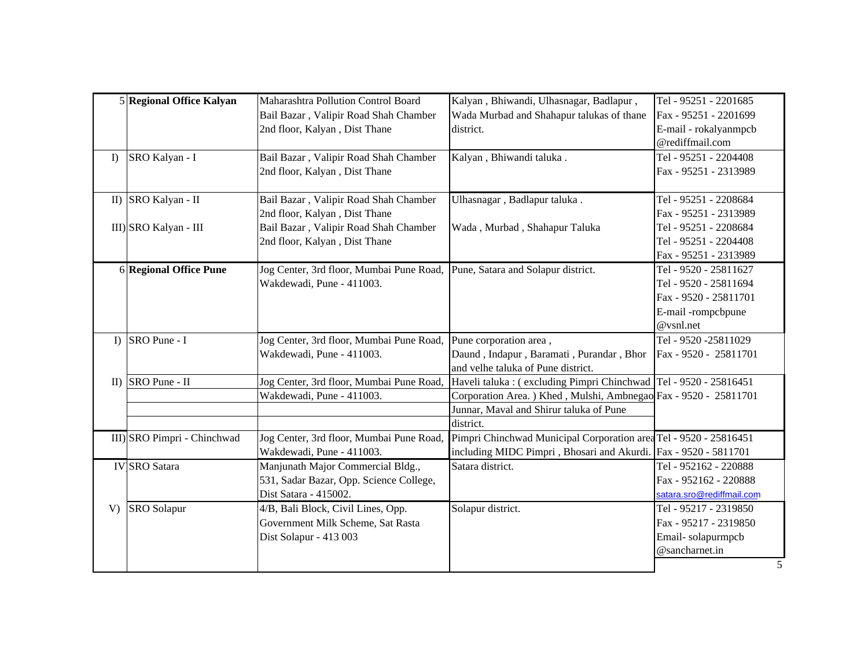|          | 5 Regional Office Kalyan    | Maharashtra Pollution Control Board      | Kalyan, Bhiwandi, Ulhasnagar, Badlapur,                           | Tel - 95251 - 2201685     |
|----------|-----------------------------|------------------------------------------|-------------------------------------------------------------------|---------------------------|
|          |                             | Bail Bazar, Valipir Road Shah Chamber    | Wada Murbad and Shahapur talukas of thane                         | Fax - 95251 - 2201699     |
|          |                             | 2nd floor, Kalyan, Dist Thane            | district.                                                         | E-mail - rokalyanmpcb     |
|          |                             |                                          |                                                                   | @rediffmail.com           |
| $\Gamma$ | SRO Kalyan - I              | Bail Bazar, Valipir Road Shah Chamber    | Kalyan, Bhiwandi taluka.                                          | Tel - 95251 - 2204408     |
|          |                             | 2nd floor, Kalyan, Dist Thane            |                                                                   | Fax - 95251 - 2313989     |
|          |                             |                                          |                                                                   |                           |
|          | II) SRO Kalyan - II         | Bail Bazar, Valipir Road Shah Chamber    | Ulhasnagar, Badlapur taluka.                                      | Tel - 95251 - 2208684     |
|          |                             | 2nd floor, Kalyan, Dist Thane            |                                                                   | Fax - 95251 - 2313989     |
|          | III) SRO Kalyan - III       | Bail Bazar, Valipir Road Shah Chamber    | Wada, Murbad, Shahapur Taluka                                     | Tel - 95251 - 2208684     |
|          |                             | 2nd floor, Kalyan, Dist Thane            |                                                                   | Tel - 95251 - 2204408     |
|          |                             |                                          |                                                                   | Fax - 95251 - 2313989     |
|          | 6 Regional Office Pune      | Jog Center, 3rd floor, Mumbai Pune Road, | Pune, Satara and Solapur district.                                | Tel - 9520 - 25811627     |
|          |                             | Wakdewadi, Pune - 411003.                |                                                                   | Tel - 9520 - 25811694     |
|          |                             |                                          |                                                                   | Fax - 9520 - 25811701     |
|          |                             |                                          |                                                                   | E-mail -rompcbpune        |
|          |                             |                                          |                                                                   | @vsnl.net                 |
|          |                             |                                          |                                                                   |                           |
|          | I) $ $ SRO Pune - I         | Jog Center, 3rd floor, Mumbai Pune Road, | Pune corporation area,                                            | Tel - 9520 -25811029      |
|          |                             | Wakdewadi, Pune - 411003.                | Daund, Indapur, Baramati, Purandar, Bhor                          | Fax - 9520 - 25811701     |
|          |                             |                                          | and velhe taluka of Pune district.                                |                           |
|          | II) SRO Pune - II           | Jog Center, 3rd floor, Mumbai Pune Road, | Haveli taluka : (excluding Pimpri Chinchwad Tel - 9520 - 25816451 |                           |
|          |                             | Wakdewadi, Pune - 411003.                | Corporation Area. ) Khed, Mulshi, Ambnegao Fax - 9520 - 25811701  |                           |
|          |                             |                                          | Junnar, Maval and Shirur taluka of Pune                           |                           |
|          |                             |                                          | district.                                                         |                           |
|          | III) SRO Pimpri - Chinchwad | Jog Center, 3rd floor, Mumbai Pune Road, | Pimpri Chinchwad Municipal Corporation area Tel - 9520 - 25816451 |                           |
|          |                             | Wakdewadi, Pune - 411003.                | including MIDC Pimpri, Bhosari and Akurdi. Fax - 9520 - 5811701   |                           |
|          | <b>IV</b> SRO Satara        | Manjunath Major Commercial Bldg.,        | Satara district.                                                  | Tel - 952162 - 220888     |
|          |                             | 531, Sadar Bazar, Opp. Science College,  |                                                                   | Fax - 952162 - 220888     |
|          |                             | Dist Satara - 415002.                    |                                                                   | satara.sro@rediffmail.com |
| V        | <b>SRO</b> Solapur          | 4/B, Bali Block, Civil Lines, Opp.       | Solapur district.                                                 | Tel - 95217 - 2319850     |
|          |                             | Government Milk Scheme, Sat Rasta        |                                                                   | Fax - 95217 - 2319850     |
|          |                             | Dist Solapur - 413 003                   |                                                                   | Email-solapurmpcb         |
|          |                             |                                          |                                                                   | @sancharnet.in            |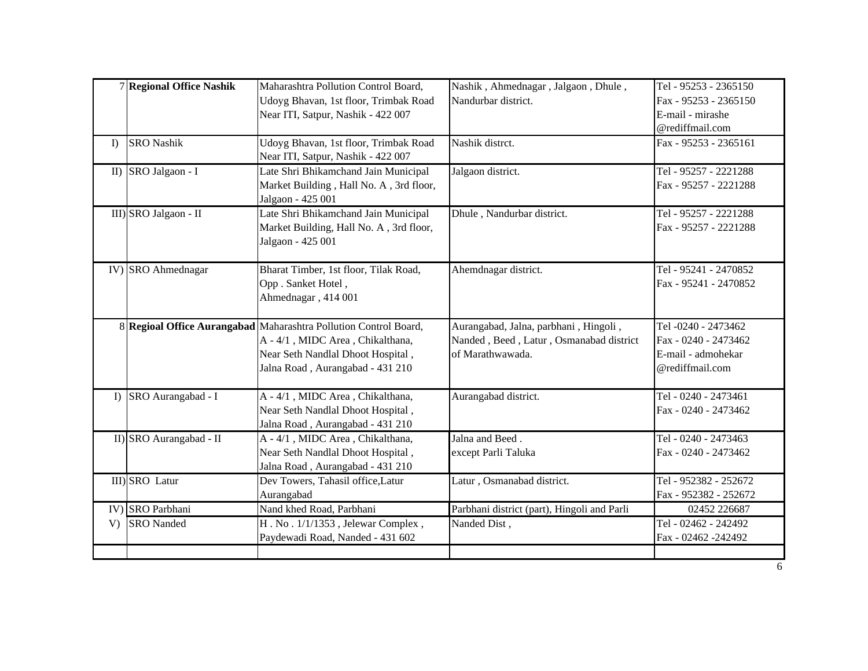|          | 7 Regional Office Nashik | Maharashtra Pollution Control Board,<br>Udoyg Bhavan, 1st floor, Trimbak Road<br>Near ITI, Satpur, Nashik - 422 007                                                           | Nashik, Ahmednagar, Jalgaon, Dhule,<br>Nandurbar district.                                           | Tel - 95253 - 2365150<br>Fax - 95253 - 2365150<br>E-mail - mirashe<br>@rediffmail.com |
|----------|--------------------------|-------------------------------------------------------------------------------------------------------------------------------------------------------------------------------|------------------------------------------------------------------------------------------------------|---------------------------------------------------------------------------------------|
| $\Gamma$ | <b>SRO</b> Nashik        | Udoyg Bhavan, 1st floor, Trimbak Road<br>Near ITI, Satpur, Nashik - 422 007                                                                                                   | Nashik distrct.                                                                                      | Fax - 95253 - 2365161                                                                 |
|          | II) SRO Jalgaon - I      | Late Shri Bhikamchand Jain Municipal<br>Market Building, Hall No. A, 3rd floor,<br>Jalgaon - 425 001                                                                          | Jalgaon district.                                                                                    | Tel - 95257 - 2221288<br>Fax - 95257 - 2221288                                        |
|          | III) SRO Jalgaon - II    | Late Shri Bhikamchand Jain Municipal<br>Market Building, Hall No. A, 3rd floor,<br>Jalgaon - 425 001                                                                          | Dhule, Nandurbar district.                                                                           | Tel - 95257 - 2221288<br>Fax - 95257 - 2221288                                        |
|          | IV) SRO Ahmednagar       | Bharat Timber, 1st floor, Tilak Road,<br>Opp. Sanket Hotel,<br>Ahmednagar, 414 001                                                                                            | Ahemdnagar district.                                                                                 | Tel - 95241 - 2470852<br>Fax - 95241 - 2470852                                        |
|          |                          | 8 Regioal Office Aurangabad Maharashtra Pollution Control Board,<br>A - 4/1, MIDC Area, Chikalthana,<br>Near Seth Nandlal Dhoot Hospital,<br>Jalna Road, Aurangabad - 431 210 | Aurangabad, Jalna, parbhani, Hingoli,<br>Nanded, Beed, Latur, Osmanabad district<br>of Marathwawada. | Tel -0240 - 2473462<br>Fax - 0240 - 2473462<br>E-mail - admohekar<br>@rediffmail.com  |
| $\bf{I}$ | SRO Aurangabad - I       | A - 4/1, MIDC Area, Chikalthana,<br>Near Seth Nandlal Dhoot Hospital,<br>Jalna Road, Aurangabad - 431 210                                                                     | Aurangabad district.                                                                                 | Tel - 0240 - 2473461<br>Fax - 0240 - 2473462                                          |
|          | II) SRO Aurangabad - II  | A - 4/1, MIDC Area, Chikalthana,<br>Near Seth Nandlal Dhoot Hospital,<br>Jalna Road, Aurangabad - 431 210                                                                     | Jalna and Beed.<br>except Parli Taluka                                                               | Tel - 0240 - 2473463<br>Fax - 0240 - 2473462                                          |
|          | III) SRO Latur           | Dev Towers, Tahasil office, Latur<br>Aurangabad                                                                                                                               | Latur, Osmanabad district.                                                                           | Tel - 952382 - 252672<br>Fax - 952382 - 252672                                        |
| IV)      | <b>SRO</b> Parbhani      | Nand khed Road, Parbhani                                                                                                                                                      | Parbhani district (part), Hingoli and Parli                                                          | 02452 226687                                                                          |
|          |                          |                                                                                                                                                                               |                                                                                                      |                                                                                       |
| V        | <b>SRO</b> Nanded        | H. No. 1/1/1353, Jelewar Complex,<br>Paydewadi Road, Nanded - 431 602                                                                                                         | Nanded Dist,                                                                                         | Tel - 02462 - 242492<br>Fax - 02462 -242492                                           |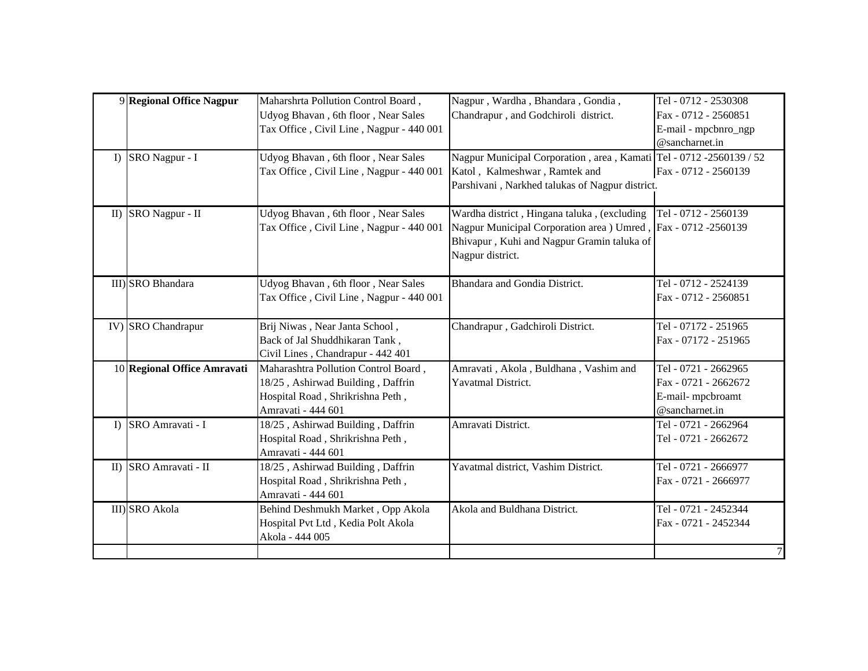| $\Gamma$     | 9 Regional Office Nagpur<br>SRO Nagpur - I | Maharshrta Pollution Control Board,<br>Udyog Bhavan, 6th floor, Near Sales<br>Tax Office, Civil Line, Nagpur - 440 001<br>Udyog Bhavan, 6th floor, Near Sales | Nagpur, Wardha, Bhandara, Gondia,<br>Chandrapur, and Godchiroli district.<br>Nagpur Municipal Corporation, area, Kamati Tel - 0712 -2560139 / 52                                | Tel - 0712 - 2530308<br>Fax - 0712 - 2560851<br>E-mail - mpcbnro_ngp<br>$@$ sancharnet.in |
|--------------|--------------------------------------------|---------------------------------------------------------------------------------------------------------------------------------------------------------------|---------------------------------------------------------------------------------------------------------------------------------------------------------------------------------|-------------------------------------------------------------------------------------------|
|              |                                            | Tax Office, Civil Line, Nagpur - 440 001                                                                                                                      | Katol, Kalmeshwar, Ramtek and<br>Parshivani, Narkhed talukas of Nagpur district.                                                                                                | Fax - 0712 - 2560139                                                                      |
| II           | SRO Nagpur - II                            | Udyog Bhavan, 6th floor, Near Sales<br>Tax Office, Civil Line, Nagpur - 440 001                                                                               | Wardha district, Hingana taluka, (excluding<br>Nagpur Municipal Corporation area ) Umred, Fax - 0712 -2560139<br>Bhivapur, Kuhi and Nagpur Gramin taluka of<br>Nagpur district. | Tel - 0712 - 2560139                                                                      |
|              | III) SRO Bhandara                          | Udyog Bhavan, 6th floor, Near Sales<br>Tax Office, Civil Line, Nagpur - 440 001                                                                               | Bhandara and Gondia District.                                                                                                                                                   | Tel - 0712 - 2524139<br>Fax - 0712 - 2560851                                              |
|              | IV) SRO Chandrapur                         | Brij Niwas, Near Janta School,<br>Back of Jal Shuddhikaran Tank,<br>Civil Lines, Chandrapur - 442 401                                                         | Chandrapur, Gadchiroli District.                                                                                                                                                | Tel - 07172 - 251965<br>Fax - 07172 - 251965                                              |
|              | 10 Regional Office Amravati                | Maharashtra Pollution Control Board,<br>18/25, Ashirwad Building, Daffrin<br>Hospital Road, Shrikrishna Peth,<br>Amravati - 444 601                           | Amravati, Akola, Buldhana, Vashim and<br>Yavatmal District.                                                                                                                     | Tel - 0721 - 2662965<br>Fax - 0721 - 2662672<br>E-mail-mpcbroamt<br>@sancharnet.in        |
| $\Gamma$     | SRO Amravati - I                           | 18/25, Ashirwad Building, Daffrin<br>Hospital Road, Shrikrishna Peth,<br>Amravati - 444 601                                                                   | Amravati District.                                                                                                                                                              | Tel - 0721 - 2662964<br>Tel - 0721 - 2662672                                              |
| $\mathbf{I}$ | SRO Amravati - II                          | 18/25, Ashirwad Building, Daffrin<br>Hospital Road, Shrikrishna Peth,<br>Amravati - 444 601                                                                   | Yavatmal district, Vashim District.                                                                                                                                             | Tel - 0721 - 2666977<br>Fax - 0721 - 2666977                                              |
|              | III) SRO Akola                             | Behind Deshmukh Market, Opp Akola<br>Hospital Pvt Ltd, Kedia Polt Akola<br>Akola - 444 005                                                                    | Akola and Buldhana District.                                                                                                                                                    | Tel - 0721 - 2452344<br>Fax - 0721 - 2452344<br>$\boldsymbol{7}$                          |